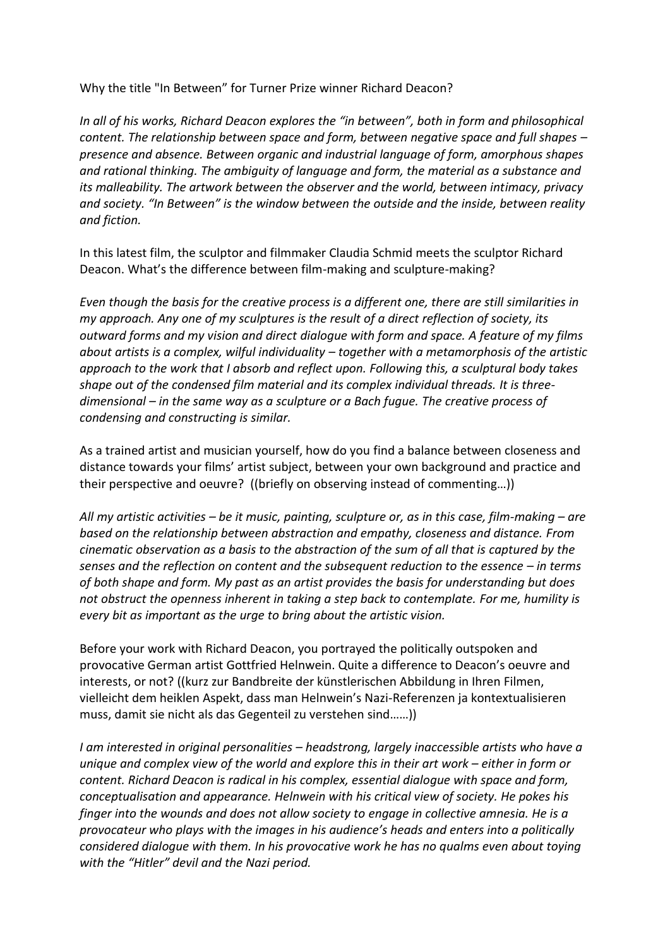Why the title "In Between" for Turner Prize winner Richard Deacon?

*In all of his works, Richard Deacon explores the "in between", both in form and philosophical content. The relationship between space and form, between negative space and full shapes – presence and absence. Between organic and industrial language of form, amorphous shapes and rational thinking. The ambiguity of language and form, the material as a substance and its malleability. The artwork between the observer and the world, between intimacy, privacy and society. "In Between" is the window between the outside and the inside, between reality and fiction.*

In this latest film, the sculptor and filmmaker Claudia Schmid meets the sculptor Richard Deacon. What's the difference between film-making and sculpture-making?

*Even though the basis for the creative process is a different one, there are still similarities in my approach. Any one of my sculptures is the result of a direct reflection of society, its outward forms and my vision and direct dialogue with form and space. A feature of my films about artists is a complex, wilful individuality – together with a metamorphosis of the artistic approach to the work that I absorb and reflect upon. Following this, a sculptural body takes shape out of the condensed film material and its complex individual threads. It is threedimensional – in the same way as a sculpture or a Bach fugue. The creative process of condensing and constructing is similar.*

As a trained artist and musician yourself, how do you find a balance between closeness and distance towards your films' artist subject, between your own background and practice and their perspective and oeuvre? ((briefly on observing instead of commenting…))

*All my artistic activities – be it music, painting, sculpture or, as in this case, film-making – are based on the relationship between abstraction and empathy, closeness and distance. From cinematic observation as a basis to the abstraction of the sum of all that is captured by the senses and the reflection on content and the subsequent reduction to the essence – in terms of both shape and form. My past as an artist provides the basis for understanding but does not obstruct the openness inherent in taking a step back to contemplate. For me, humility is every bit as important as the urge to bring about the artistic vision.*

Before your work with Richard Deacon, you portrayed the politically outspoken and provocative German artist Gottfried Helnwein. Quite a difference to Deacon's oeuvre and interests, or not? ((kurz zur Bandbreite der künstlerischen Abbildung in Ihren Filmen, vielleicht dem heiklen Aspekt, dass man Helnwein's Nazi-Referenzen ja kontextualisieren muss, damit sie nicht als das Gegenteil zu verstehen sind……))

*I am interested in original personalities – headstrong, largely inaccessible artists who have a unique and complex view of the world and explore this in their art work – either in form or content. Richard Deacon is radical in his complex, essential dialogue with space and form, conceptualisation and appearance. Helnwein with his critical view of society. He pokes his finger into the wounds and does not allow society to engage in collective amnesia. He is a provocateur who plays with the images in his audience's heads and enters into a politically considered dialogue with them. In his provocative work he has no qualms even about toying with the "Hitler" devil and the Nazi period.*